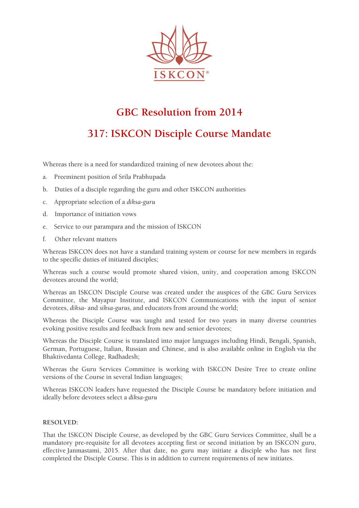

## **GBC Resolution from 2014**

## **317: ISKCON Disciple Course Mandate**

Whereas there is a need for standardized training of new devotees about the:

- a. Preeminent position of Srila Prabhupada
- b. Duties of a disciple regarding the guru and other ISKCON authorities
- c. Appropriate selection of a *diksa-guru*
- d. Importance of initiation vows
- e. Service to our parampara and the mission of ISKCON
- f. Other relevant matters

Whereas ISKCON does not have a standard training system or course for new members in regards to the specific duties of initiated disciples;

Whereas such a course would promote shared vision, unity, and cooperation among ISKCON devotees around the world;

Whereas an ISKCON Disciple Course was created under the auspices of the GBC Guru Services Committee, the Mayapur Institute, and ISKCON Communications with the input of senior devotees, *diksa-* and *siksa-gurus,* and educators from around the world;

Whereas the Disciple Course was taught and tested for two years in many diverse countries evoking positive results and feedback from new and senior devotees;

Whereas the Disciple Course is translated into major languages including Hindi, Bengali, Spanish, German, Portuguese, Italian, Russian and Chinese, and is also available online in English via the Bhaktivedanta College, Radhadesh;

Whereas the Guru Services Committee is working with ISKCON Desire Tree to create online versions of the Course in several Indian languages;

Whereas ISKCON leaders have requested the Disciple Course be mandatory before initiation and ideally before devotees select a *diksa-guru*

## **RESOLVED:**

That the ISKCON Disciple Course, as developed by the GBC Guru Services Committee, shall be a mandatory pre-requisite for all devotees accepting first or second initiation by an ISKCON guru, effective Janmastami, 2015. After that date, no guru may initiate a disciple who has not first completed the Disciple Course. This is in addition to current requirements of new initiates.